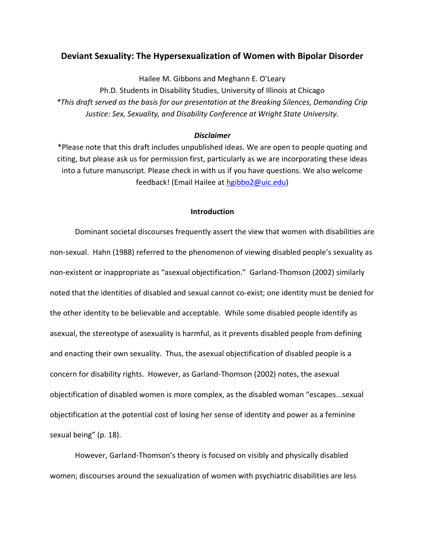# **Deviant Sexuality: The Hypersexualization of Women with Bipolar Disorder**

Hailee M. Gibbons and Meghann E. O'Leary

Ph.D. Students in Disability Studies, University of Illinois at Chicago *\*This draft served as the basis for our presentation at the Breaking Silences, Demanding Crip Justice: Sex, Sexuality, and Disability Conference at Wright State University.* 

#### *Disclaimer*

\*Please note that this draft includes unpublished ideas. We are open to people quoting and citing, but please ask us for permission first, particularly as we are incorporating these ideas into a future manuscript. Please check in with us if you have questions. We also welcome feedback! (Email Hailee at [hgibbo2@uic.edu\)](mailto:hgibbo2@uic.edu)

### **Introduction**

Dominant societal discourses frequently assert the view that women with disabilities are non-sexual. Hahn (1988) referred to the phenomenon of viewing disabled people's sexuality as non-existent or inappropriate as "asexual objectification." Garland-Thomson (2002) similarly noted that the identities of disabled and sexual cannot co-exist; one identity must be denied for the other identity to be believable and acceptable. While some disabled people identify as asexual, the stereotype of asexuality is harmful, as it prevents disabled people from defining and enacting their own sexuality. Thus, the asexual objectification of disabled people is a concern for disability rights. However, as Garland-Thomson (2002) notes, the asexual objectification of disabled women is more complex, as the disabled woman "escapes...sexual objectification at the potential cost of losing her sense of identity and power as a feminine sexual being" (p. 18).

However, Garland-Thomson's theory is focused on visibly and physically disabled women; discourses around the sexualization of women with psychiatric disabilities are less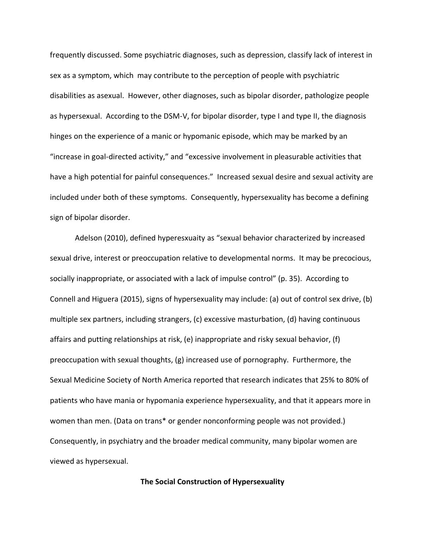frequently discussed. Some psychiatric diagnoses, such as depression, classify lack of interest in sex as a symptom, which may contribute to the perception of people with psychiatric disabilities as asexual. However, other diagnoses, such as bipolar disorder, pathologize people as hypersexual. According to the DSM-V, for bipolar disorder, type I and type II, the diagnosis hinges on the experience of a manic or hypomanic episode, which may be marked by an "increase in goal-directed activity," and "excessive involvement in pleasurable activities that have a high potential for painful consequences." Increased sexual desire and sexual activity are included under both of these symptoms. Consequently, hypersexuality has become a defining sign of bipolar disorder.

Adelson (2010), defined hyperesxuaity as "sexual behavior characterized by increased sexual drive, interest or preoccupation relative to developmental norms. It may be precocious, socially inappropriate, or associated with a lack of impulse control" (p. 35). According to Connell and Higuera (2015), signs of hypersexuality may include: (a) out of control sex drive, (b) multiple sex partners, including strangers, (c) excessive masturbation, (d) having continuous affairs and putting relationships at risk, (e) inappropriate and risky sexual behavior, (f) preoccupation with sexual thoughts, (g) increased use of pornography. Furthermore, the Sexual Medicine Society of North America reported that research indicates that 25% to 80% of patients who have mania or hypomania experience hypersexuality, and that it appears more in women than men. (Data on trans\* or gender nonconforming people was not provided.) Consequently, in psychiatry and the broader medical community, many bipolar women are viewed as hypersexual.

## **The Social Construction of Hypersexuality**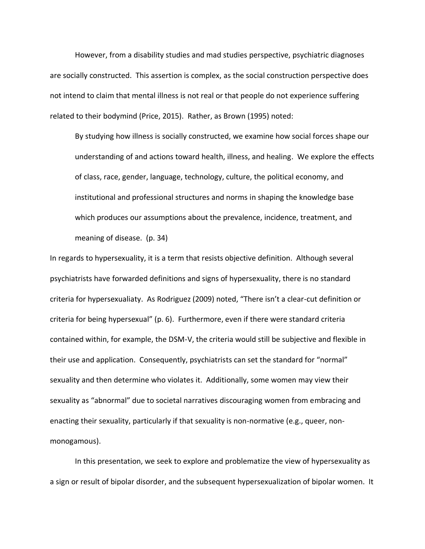However, from a disability studies and mad studies perspective, psychiatric diagnoses are socially constructed. This assertion is complex, as the social construction perspective does not intend to claim that mental illness is not real or that people do not experience suffering related to their bodymind (Price, 2015). Rather, as Brown (1995) noted:

By studying how illness is socially constructed, we examine how social forces shape our understanding of and actions toward health, illness, and healing. We explore the effects of class, race, gender, language, technology, culture, the political economy, and institutional and professional structures and norms in shaping the knowledge base which produces our assumptions about the prevalence, incidence, treatment, and meaning of disease. (p. 34)

In regards to hypersexuality, it is a term that resists objective definition. Although several psychiatrists have forwarded definitions and signs of hypersexuality, there is no standard criteria for hypersexualiaty. As Rodriguez (2009) noted, "There isn't a clear-cut definition or criteria for being hypersexual" (p. 6). Furthermore, even if there were standard criteria contained within, for example, the DSM-V, the criteria would still be subjective and flexible in their use and application. Consequently, psychiatrists can set the standard for "normal" sexuality and then determine who violates it. Additionally, some women may view their sexuality as "abnormal" due to societal narratives discouraging women from embracing and enacting their sexuality, particularly if that sexuality is non-normative (e.g., queer, nonmonogamous).

In this presentation, we seek to explore and problematize the view of hypersexuality as a sign or result of bipolar disorder, and the subsequent hypersexualization of bipolar women. It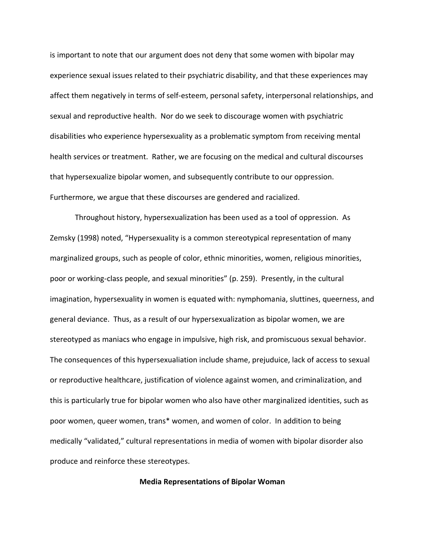is important to note that our argument does not deny that some women with bipolar may experience sexual issues related to their psychiatric disability, and that these experiences may affect them negatively in terms of self-esteem, personal safety, interpersonal relationships, and sexual and reproductive health. Nor do we seek to discourage women with psychiatric disabilities who experience hypersexuality as a problematic symptom from receiving mental health services or treatment. Rather, we are focusing on the medical and cultural discourses that hypersexualize bipolar women, and subsequently contribute to our oppression. Furthermore, we argue that these discourses are gendered and racialized.

Throughout history, hypersexualization has been used as a tool of oppression. As Zemsky (1998) noted, "Hypersexuality is a common stereotypical representation of many marginalized groups, such as people of color, ethnic minorities, women, religious minorities, poor or working-class people, and sexual minorities" (p. 259). Presently, in the cultural imagination, hypersexuality in women is equated with: nymphomania, sluttines, queerness, and general deviance. Thus, as a result of our hypersexualization as bipolar women, we are stereotyped as maniacs who engage in impulsive, high risk, and promiscuous sexual behavior. The consequences of this hypersexualiation include shame, prejuduice, lack of access to sexual or reproductive healthcare, justification of violence against women, and criminalization, and this is particularly true for bipolar women who also have other marginalized identities, such as poor women, queer women, trans\* women, and women of color. In addition to being medically "validated," cultural representations in media of women with bipolar disorder also produce and reinforce these stereotypes.

## **Media Representations of Bipolar Woman**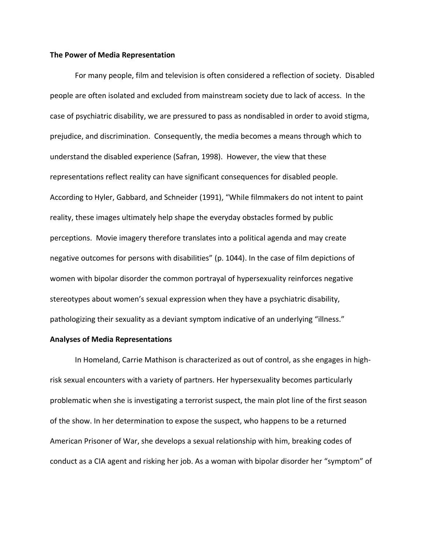#### **The Power of Media Representation**

For many people, film and television is often considered a reflection of society. Disabled people are often isolated and excluded from mainstream society due to lack of access. In the case of psychiatric disability, we are pressured to pass as nondisabled in order to avoid stigma, prejudice, and discrimination. Consequently, the media becomes a means through which to understand the disabled experience (Safran, 1998). However, the view that these representations reflect reality can have significant consequences for disabled people. According to Hyler, Gabbard, and Schneider (1991), "While filmmakers do not intent to paint reality, these images ultimately help shape the everyday obstacles formed by public perceptions. Movie imagery therefore translates into a political agenda and may create negative outcomes for persons with disabilities" (p. 1044). In the case of film depictions of women with bipolar disorder the common portrayal of hypersexuality reinforces negative stereotypes about women's sexual expression when they have a psychiatric disability, pathologizing their sexuality as a deviant symptom indicative of an underlying "illness."

### **Analyses of Media Representations**

In Homeland, Carrie Mathison is characterized as out of control, as she engages in highrisk sexual encounters with a variety of partners. Her hypersexuality becomes particularly problematic when she is investigating a terrorist suspect, the main plot line of the first season of the show. In her determination to expose the suspect, who happens to be a returned American Prisoner of War, she develops a sexual relationship with him, breaking codes of conduct as a CIA agent and risking her job. As a woman with bipolar disorder her "symptom" of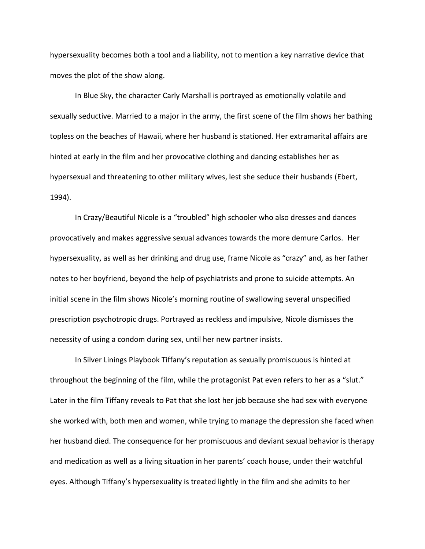hypersexuality becomes both a tool and a liability, not to mention a key narrative device that moves the plot of the show along.

In Blue Sky, the character Carly Marshall is portrayed as emotionally volatile and sexually seductive. Married to a major in the army, the first scene of the film shows her bathing topless on the beaches of Hawaii, where her husband is stationed. Her extramarital affairs are hinted at early in the film and her provocative clothing and dancing establishes her as hypersexual and threatening to other military wives, lest she seduce their husbands (Ebert, 1994).

In Crazy/Beautiful Nicole is a "troubled" high schooler who also dresses and dances provocatively and makes aggressive sexual advances towards the more demure Carlos. Her hypersexuality, as well as her drinking and drug use, frame Nicole as "crazy" and, as her father notes to her boyfriend, beyond the help of psychiatrists and prone to suicide attempts. An initial scene in the film shows Nicole's morning routine of swallowing several unspecified prescription psychotropic drugs. Portrayed as reckless and impulsive, Nicole dismisses the necessity of using a condom during sex, until her new partner insists.

In Silver Linings Playbook Tiffany's reputation as sexually promiscuous is hinted at throughout the beginning of the film, while the protagonist Pat even refers to her as a "slut." Later in the film Tiffany reveals to Pat that she lost her job because she had sex with everyone she worked with, both men and women, while trying to manage the depression she faced when her husband died. The consequence for her promiscuous and deviant sexual behavior is therapy and medication as well as a living situation in her parents' coach house, under their watchful eyes. Although Tiffany's hypersexuality is treated lightly in the film and she admits to her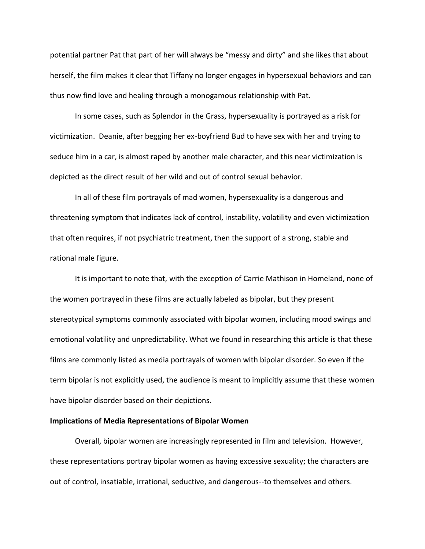potential partner Pat that part of her will always be "messy and dirty" and she likes that about herself, the film makes it clear that Tiffany no longer engages in hypersexual behaviors and can thus now find love and healing through a monogamous relationship with Pat.

In some cases, such as Splendor in the Grass, hypersexuality is portrayed as a risk for victimization. Deanie, after begging her ex-boyfriend Bud to have sex with her and trying to seduce him in a car, is almost raped by another male character, and this near victimization is depicted as the direct result of her wild and out of control sexual behavior.

In all of these film portrayals of mad women, hypersexuality is a dangerous and threatening symptom that indicates lack of control, instability, volatility and even victimization that often requires, if not psychiatric treatment, then the support of a strong, stable and rational male figure.

It is important to note that, with the exception of Carrie Mathison in Homeland, none of the women portrayed in these films are actually labeled as bipolar, but they present stereotypical symptoms commonly associated with bipolar women, including mood swings and emotional volatility and unpredictability. What we found in researching this article is that these films are commonly listed as media portrayals of women with bipolar disorder. So even if the term bipolar is not explicitly used, the audience is meant to implicitly assume that these women have bipolar disorder based on their depictions.

#### **Implications of Media Representations of Bipolar Women**

Overall, bipolar women are increasingly represented in film and television. However, these representations portray bipolar women as having excessive sexuality; the characters are out of control, insatiable, irrational, seductive, and dangerous--to themselves and others.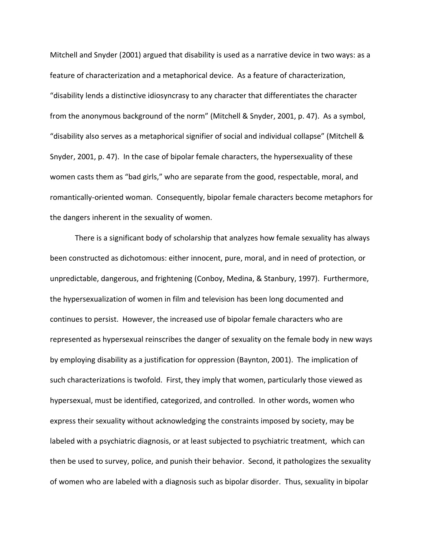Mitchell and Snyder (2001) argued that disability is used as a narrative device in two ways: as a feature of characterization and a metaphorical device. As a feature of characterization, "disability lends a distinctive idiosyncrasy to any character that differentiates the character from the anonymous background of the norm" (Mitchell & Snyder, 2001, p. 47). As a symbol, "disability also serves as a metaphorical signifier of social and individual collapse" (Mitchell & Snyder, 2001, p. 47). In the case of bipolar female characters, the hypersexuality of these women casts them as "bad girls," who are separate from the good, respectable, moral, and romantically-oriented woman. Consequently, bipolar female characters become metaphors for the dangers inherent in the sexuality of women.

There is a significant body of scholarship that analyzes how female sexuality has always been constructed as dichotomous: either innocent, pure, moral, and in need of protection, or unpredictable, dangerous, and frightening (Conboy, Medina, & Stanbury, 1997). Furthermore, the hypersexualization of women in film and television has been long documented and continues to persist. However, the increased use of bipolar female characters who are represented as hypersexual reinscribes the danger of sexuality on the female body in new ways by employing disability as a justification for oppression (Baynton, 2001). The implication of such characterizations is twofold. First, they imply that women, particularly those viewed as hypersexual, must be identified, categorized, and controlled. In other words, women who express their sexuality without acknowledging the constraints imposed by society, may be labeled with a psychiatric diagnosis, or at least subjected to psychiatric treatment, which can then be used to survey, police, and punish their behavior. Second, it pathologizes the sexuality of women who are labeled with a diagnosis such as bipolar disorder. Thus, sexuality in bipolar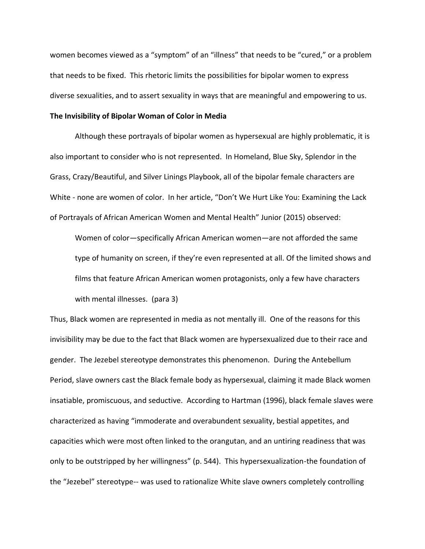women becomes viewed as a "symptom" of an "illness" that needs to be "cured," or a problem that needs to be fixed. This rhetoric limits the possibilities for bipolar women to express diverse sexualities, and to assert sexuality in ways that are meaningful and empowering to us.

#### **The Invisibility of Bipolar Woman of Color in Media**

Although these portrayals of bipolar women as hypersexual are highly problematic, it is also important to consider who is not represented. In Homeland, Blue Sky, Splendor in the Grass, Crazy/Beautiful, and Silver Linings Playbook, all of the bipolar female characters are White - none are women of color. In her article, "Don't We Hurt Like You: Examining the Lack of Portrayals of African American Women and Mental Health" Junior (2015) observed:

Women of color—specifically African American women—are not afforded the same type of humanity on screen, if they're even represented at all. Of the limited shows and films that feature African American women protagonists, only a few have characters with mental illnesses. (para 3)

Thus, Black women are represented in media as not mentally ill. One of the reasons for this invisibility may be due to the fact that Black women are hypersexualized due to their race and gender. The Jezebel stereotype demonstrates this phenomenon. During the Antebellum Period, slave owners cast the Black female body as hypersexual, claiming it made Black women insatiable, promiscuous, and seductive. According to Hartman (1996), black female slaves were characterized as having "immoderate and overabundent sexuality, bestial appetites, and capacities which were most often linked to the orangutan, and an untiring readiness that was only to be outstripped by her willingness" (p. 544). This hypersexualization-the foundation of the "Jezebel" stereotype-- was used to rationalize White slave owners completely controlling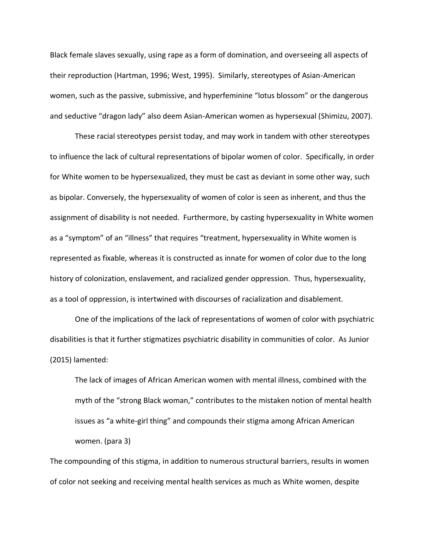Black female slaves sexually, using rape as a form of domination, and overseeing all aspects of their reproduction (Hartman, 1996; West, 1995). Similarly, stereotypes of Asian-American women, such as the passive, submissive, and hyperfeminine "lotus blossom" or the dangerous and seductive "dragon lady" also deem Asian-American women as hypersexual (Shimizu, 2007).

These racial stereotypes persist today, and may work in tandem with other stereotypes to influence the lack of cultural representations of bipolar women of color. Specifically, in order for White women to be hypersexualized, they must be cast as deviant in some other way, such as bipolar. Conversely, the hypersexuality of women of color is seen as inherent, and thus the assignment of disability is not needed. Furthermore, by casting hypersexuality in White women as a "symptom" of an "illness" that requires "treatment, hypersexuality in White women is represented as fixable, whereas it is constructed as innate for women of color due to the long history of colonization, enslavement, and racialized gender oppression. Thus, hypersexuality, as a tool of oppression, is intertwined with discourses of racialization and disablement.

One of the implications of the lack of representations of women of color with psychiatric disabilities is that it further stigmatizes psychiatric disability in communities of color. As Junior (2015) lamented:

The lack of images of African American women with mental illness, combined with the myth of the "strong Black woman," contributes to the mistaken notion of mental health issues as "a white-girl thing" and compounds their stigma among African American women. (para 3)

The compounding of this stigma, in addition to numerous structural barriers, results in women of color not seeking and receiving mental health services as much as White women, despite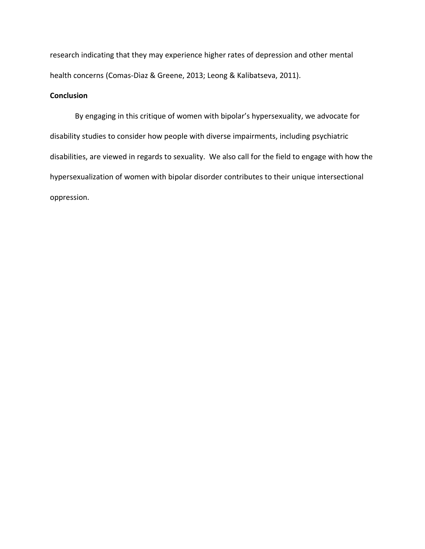research indicating that they may experience higher rates of depression and other mental health concerns (Comas-Dìaz & Greene, 2013; Leong & Kalibatseva, 2011).

# **Conclusion**

By engaging in this critique of women with bipolar's hypersexuality, we advocate for disability studies to consider how people with diverse impairments, including psychiatric disabilities, are viewed in regards to sexuality. We also call for the field to engage with how the hypersexualization of women with bipolar disorder contributes to their unique intersectional oppression.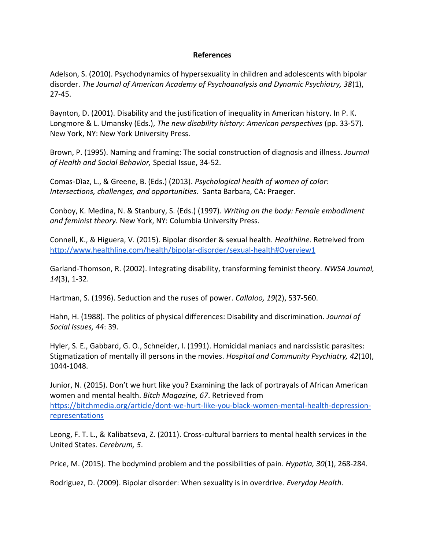## **References**

Adelson, S. (2010). Psychodynamics of hypersexuality in children and adolescents with bipolar disorder. *The Journal of American Academy of Psychoanalysis and Dynamic Psychiatry, 38*(1), 27-45.

Baynton, D. (2001). Disability and the justification of inequality in American history. In P. K. Longmore & L. Umansky (Eds.), *The new disability history: American perspectives* (pp. 33-57). New York, NY: New York University Press.

Brown, P. (1995). Naming and framing: The social construction of diagnosis and illness. *Journal of Health and Social Behavior,* Special Issue, 34-52.

Comas-Dìaz, L., & Greene, B. (Eds.) (2013). *Psychological health of women of color: Intersections, challenges, and opportunities.* Santa Barbara, CA: Praeger.

Conboy, K. Medina, N. & Stanbury, S. (Eds.) (1997). *Writing on the body: Female embodiment and feminist theory.* New York, NY: Columbia University Press.

Connell, K., & Higuera, V. (2015). Bipolar disorder & sexual health. *Healthline*. Retreived from <http://www.healthline.com/health/bipolar-disorder/sexual-health#Overview1>

Garland-Thomson, R. (2002). Integrating disability, transforming feminist theory. *NWSA Journal, 14*(3), 1-32.

Hartman, S. (1996). Seduction and the ruses of power. *Callaloo, 19*(2), 537-560.

Hahn, H. (1988). The politics of physical differences: Disability and discrimination. *Journal of Social Issues, 44*: 39.

Hyler, S. E., Gabbard, G. O., Schneider, I. (1991). Homicidal maniacs and narcissistic parasites: Stigmatization of mentally ill persons in the movies. *Hospital and Community Psychiatry, 42*(10), 1044-1048.

Junior, N. (2015). Don't we hurt like you? Examining the lack of portrayals of African American women and mental health. *Bitch Magazine, 67*. Retrieved from [https://bitchmedia.org/article/dont-we-hurt-like-you-black-women-mental-health-depression](https://bitchmedia.org/article/dont-we-hurt-like-you-black-women-mental-health-depression-representations)[representations](https://bitchmedia.org/article/dont-we-hurt-like-you-black-women-mental-health-depression-representations)

Leong, F. T. L., & Kalibatseva, Z. (2011). Cross-cultural barriers to mental health services in the United States. *Cerebrum, 5*.

Price, M. (2015). The bodymind problem and the possibilities of pain. *Hypatia, 30*(1), 268-284.

Rodriguez, D. (2009). Bipolar disorder: When sexuality is in overdrive. *Everyday Health*.